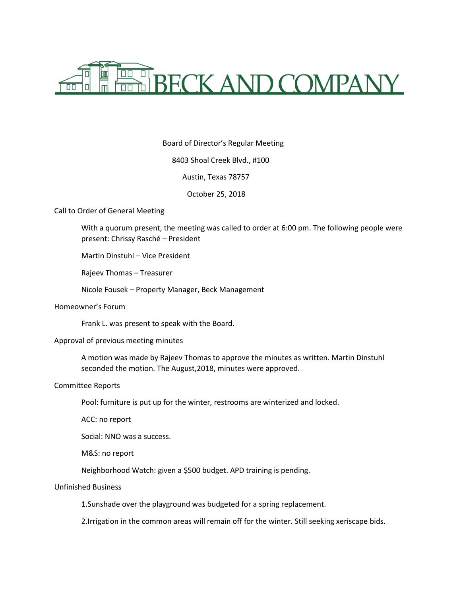

Board of Director's Regular Meeting 8403 Shoal Creek Blvd., #100 Austin, Texas 78757 October 25, 2018

Call to Order of General Meeting

With a quorum present, the meeting was called to order at 6:00 pm. The following people were present: Chrissy Rasché – President

Martin Dinstuhl – Vice President

Rajeev Thomas – Treasurer

Nicole Fousek – Property Manager, Beck Management

Homeowner's Forum

Frank L. was present to speak with the Board.

#### Approval of previous meeting minutes

A motion was made by Rajeev Thomas to approve the minutes as written. Martin Dinstuhl seconded the motion. The August,2018, minutes were approved.

# Committee Reports

Pool: furniture is put up for the winter, restrooms are winterized and locked.

ACC: no report

Social: NNO was a success.

M&S: no report

Neighborhood Watch: given a \$500 budget. APD training is pending.

#### Unfinished Business

1.Sunshade over the playground was budgeted for a spring replacement.

2.Irrigation in the common areas will remain off for the winter. Still seeking xeriscape bids.